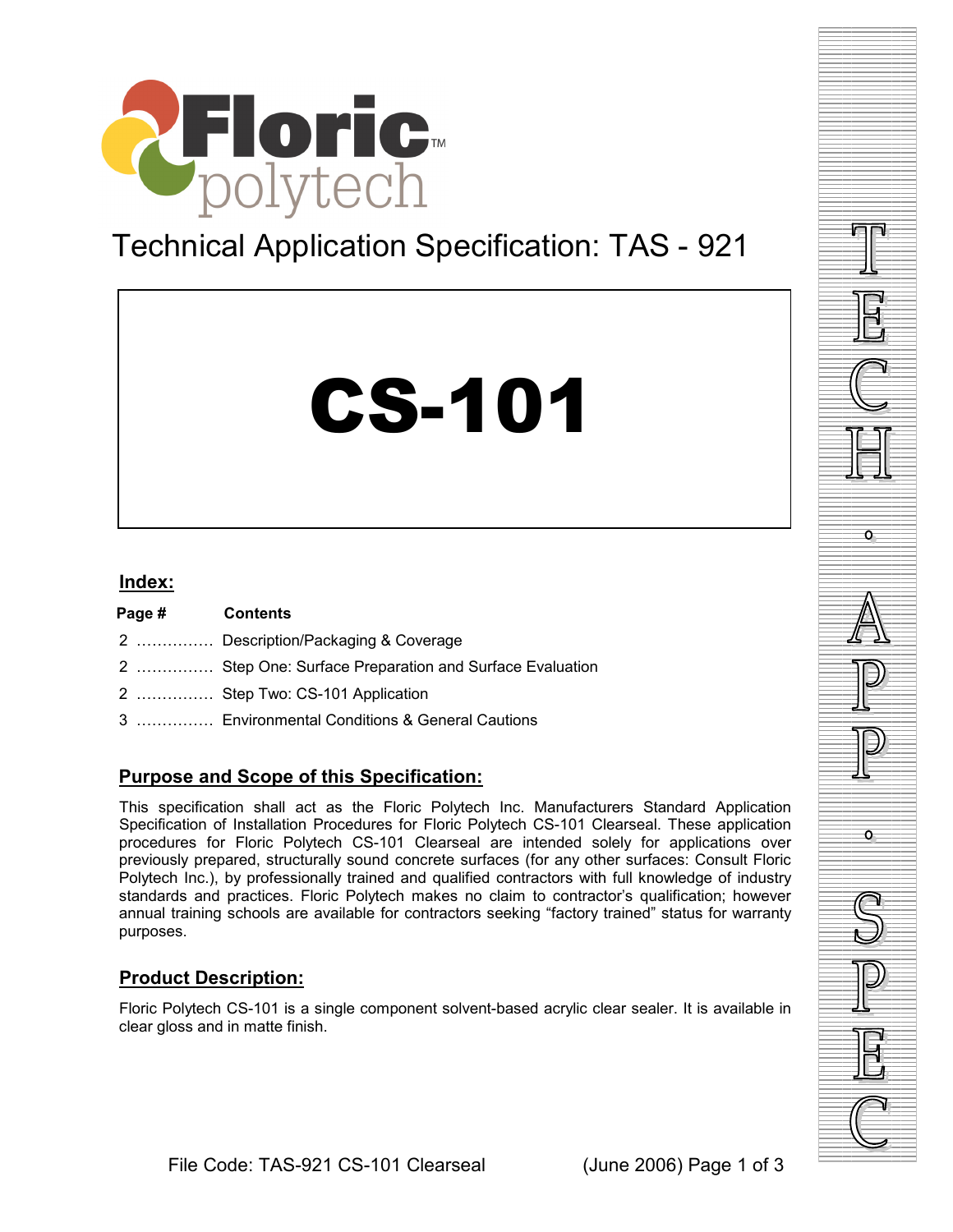

# Technical Application Specification: TAS - 921

# CS-101

## **Index:**

**Page # Contents**  2 …………… Description/Packaging & Coverage 2 …………… Step One: Surface Preparation and Surface Evaluation 2 …………… Step Two: CS-101 Application 3 …………… Environmental Conditions & General Cautions

# **Purpose and Scope of this Specification:**

This specification shall act as the Floric Polytech Inc. Manufacturers Standard Application Specification of Installation Procedures for Floric Polytech CS-101 Clearseal. These application procedures for Floric Polytech CS-101 Clearseal are intended solely for applications over previously prepared, structurally sound concrete surfaces (for any other surfaces: Consult Floric Polytech Inc.), by professionally trained and qualified contractors with full knowledge of industry standards and practices. Floric Polytech makes no claim to contractor's qualification; however annual training schools are available for contractors seeking "factory trained" status for warranty purposes.

# **Product Description:**

Floric Polytech CS-101 is a single component solvent-based acrylic clear sealer. It is available in clear gloss and in matte finish.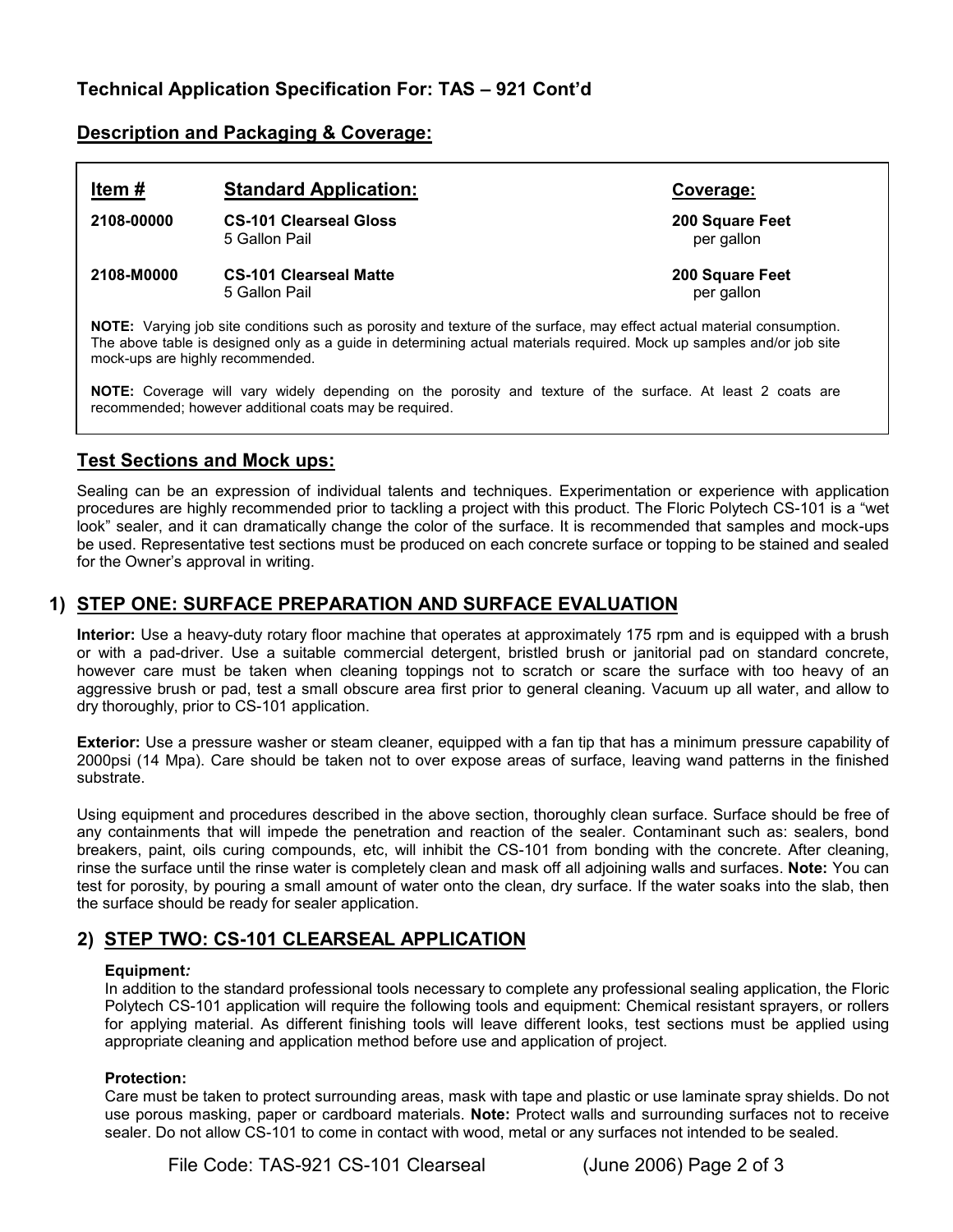# **Description and Packaging & Coverage:**

# **Item # Standard Application: Coverage: 2108-00000 CS-101 Clearseal Gloss 200 Square Feet** 5 Gallon Pail **2108-M0000 CS-101 Clearseal Matte 200 Square Feet** 5 Gallon Pail per gallon

**NOTE:** Varying job site conditions such as porosity and texture of the surface, may effect actual material consumption. The above table is designed only as a guide in determining actual materials required. Mock up samples and/or job site mock-ups are highly recommended.

**NOTE:** Coverage will vary widely depending on the porosity and texture of the surface. At least 2 coats are recommended; however additional coats may be required.

# **Test Sections and Mock ups:**

Sealing can be an expression of individual talents and techniques. Experimentation or experience with application procedures are highly recommended prior to tackling a project with this product. The Floric Polytech CS-101 is a "wet look" sealer, and it can dramatically change the color of the surface. It is recommended that samples and mock-ups be used. Representative test sections must be produced on each concrete surface or topping to be stained and sealed for the Owner's approval in writing.

## **1) STEP ONE: SURFACE PREPARATION AND SURFACE EVALUATION**

**Interior:** Use a heavy-duty rotary floor machine that operates at approximately 175 rpm and is equipped with a brush or with a pad-driver. Use a suitable commercial detergent, bristled brush or janitorial pad on standard concrete, however care must be taken when cleaning toppings not to scratch or scare the surface with too heavy of an aggressive brush or pad, test a small obscure area first prior to general cleaning. Vacuum up all water, and allow to dry thoroughly, prior to CS-101 application.

**Exterior:** Use a pressure washer or steam cleaner, equipped with a fan tip that has a minimum pressure capability of 2000psi (14 Mpa). Care should be taken not to over expose areas of surface, leaving wand patterns in the finished substrate.

Using equipment and procedures described in the above section, thoroughly clean surface. Surface should be free of any containments that will impede the penetration and reaction of the sealer. Contaminant such as: sealers, bond breakers, paint, oils curing compounds, etc, will inhibit the CS-101 from bonding with the concrete. After cleaning, rinse the surface until the rinse water is completely clean and mask off all adjoining walls and surfaces. **Note:** You can test for porosity, by pouring a small amount of water onto the clean, dry surface. If the water soaks into the slab, then the surface should be ready for sealer application.

# **2) STEP TWO: CS-101 CLEARSEAL APPLICATION**

#### **Equipment***:*

In addition to the standard professional tools necessary to complete any professional sealing application, the Floric Polytech CS-101 application will require the following tools and equipment: Chemical resistant sprayers, or rollers for applying material. As different finishing tools will leave different looks, test sections must be applied using appropriate cleaning and application method before use and application of project.

#### **Protection:**

Care must be taken to protect surrounding areas, mask with tape and plastic or use laminate spray shields. Do not use porous masking, paper or cardboard materials. **Note:** Protect walls and surrounding surfaces not to receive sealer. Do not allow CS-101 to come in contact with wood, metal or any surfaces not intended to be sealed.

File Code: TAS-921 CS-101 Clearseal (June 2006) Page 2 of 3